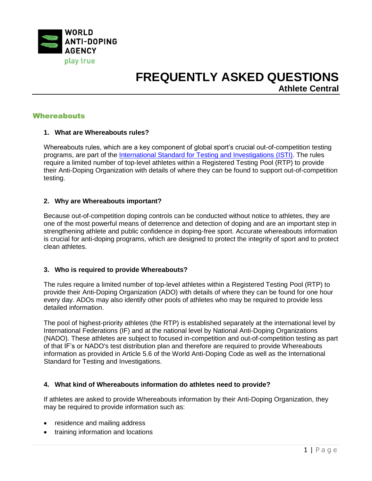

## **Whereabouts**

## **1. What are Whereabouts rules?**

Whereabouts rules, which are a key component of global sport's crucial out-of-competition testing programs, are part of the [International Standard for Testing and Investigations](https://www.wada-ama.org/sites/default/files/resources/files/isti_2019_en_new.pdf) (ISTI). The rules require a limited number of top-level athletes within a Registered Testing Pool (RTP) to provide their Anti-Doping Organization with details of where they can be found to support out-of-competition testing.

## **2. Why are Whereabouts important?**

Because out-of-competition doping controls can be conducted without notice to athletes, they are one of the most powerful means of deterrence and detection of doping and are an important step in strengthening athlete and public confidence in doping-free sport. Accurate whereabouts information is crucial for anti-doping programs, which are designed to protect the integrity of sport and to protect clean athletes.

### **3. Who is required to provide Whereabouts?**

The rules require a limited number of top-level athletes within a Registered Testing Pool (RTP) to provide their Anti-Doping Organization (ADO) with details of where they can be found for one hour every day. ADOs may also identify other pools of athletes who may be required to provide less detailed information.

The pool of highest-priority athletes (the RTP) is established separately at the international level by International Federations (IF) and at the national level by National Anti-Doping Organizations (NADO). These athletes are subject to focused in-competition and out-of-competition testing as part of that IF's or NADO's test distribution plan and therefore are required to provide Whereabouts information as provided in Article 5.6 of the World Anti-Doping Code as well as the International Standard for Testing and Investigations.

## **4. What kind of Whereabouts information do athletes need to provide?**

If athletes are asked to provide Whereabouts information by their Anti-Doping Organization, they may be required to provide information such as:

- residence and mailing address
- training information and locations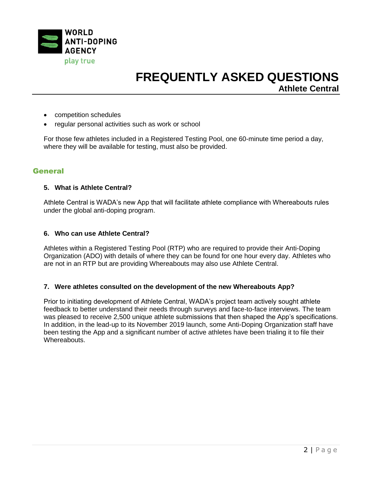

- competition schedules
- regular personal activities such as work or school

For those few athletes included in a Registered Testing Pool, one 60-minute time period a day, where they will be available for testing, must also be provided.

## **General**

### **5. What is Athlete Central?**

Athlete Central is WADA's new App that will facilitate athlete compliance with Whereabouts rules under the global anti-doping program.

### **6. Who can use Athlete Central?**

Athletes within a Registered Testing Pool (RTP) who are required to provide their Anti-Doping Organization (ADO) with details of where they can be found for one hour every day. Athletes who are not in an RTP but are providing Whereabouts may also use Athlete Central.

### **7. Were athletes consulted on the development of the new Whereabouts App?**

Prior to initiating development of Athlete Central, WADA's project team actively sought athlete feedback to better understand their needs through surveys and face-to-face interviews. The team was pleased to receive 2,500 unique athlete submissions that then shaped the App's specifications. In addition, in the lead-up to its November 2019 launch, some Anti-Doping Organization staff have been testing the App and a significant number of active athletes have been trialing it to file their Whereabouts.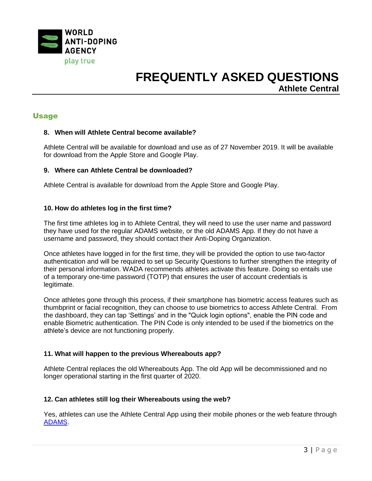

## Usage

### **8. When will Athlete Central become available?**

Athlete Central will be available for download and use as of 27 November 2019. It will be available for download from the Apple Store and Google Play.

### **9. Where can Athlete Central be downloaded?**

Athlete Central is available for download from the Apple Store and Google Play.

## **10. How do athletes log in the first time?**

The first time athletes log in to Athlete Central, they will need to use the user name and password they have used for the regular ADAMS website, or the old ADAMS App. If they do not have a username and password, they should contact their Anti-Doping Organization.

Once athletes have logged in for the first time, they will be provided the option to use two-factor authentication and will be required to set up Security Questions to further strengthen the integrity of their personal information. WADA recommends athletes activate this feature. Doing so entails use of a temporary one-time password (TOTP) that ensures the user of account credentials is legitimate.

Once athletes gone through this process, if their smartphone has biometric access features such as thumbprint or facial recognition, they can choose to use biometrics to access Athlete Central. From the dashboard, they can tap 'Settings' and in the "Quick login options", enable the PIN code and enable Biometric authentication. The PIN Code is only intended to be used if the biometrics on the athlete's device are not functioning properly.

## **11. What will happen to the previous Whereabouts app?**

Athlete Central replaces the old Whereabouts App. The old App will be decommissioned and no longer operational starting in the first quarter of 2020.

### **12. Can athletes still log their Whereabouts using the web?**

Yes, athletes can use the Athlete Central App using their mobile phones or the web feature through [ADAMS.](http://adams-maintenance.wada-ama.org/adamsprod.html)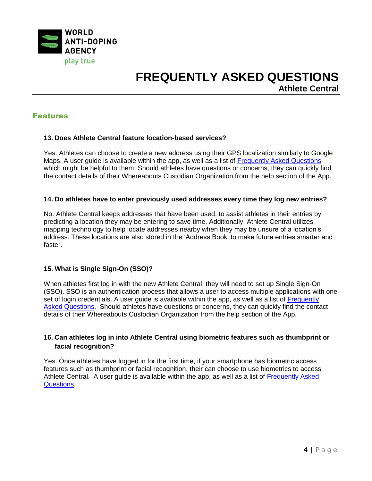

## Features

## **13. Does Athlete Central feature location-based services?**

Yes. Athletes can choose to create a new address using their GPS localization similarly to Google Maps. A user guide is available within the app, as well as a list of [Frequently Asked Questions](https://adams-help.wada-ama.org/hc/en-us/sections/360001719693-Athlete-Central-FAQ) which might be helpful to them. Should athletes have questions or concerns, they can quickly find the contact details of their Whereabouts Custodian Organization from the help section of the App.

### **14. Do athletes have to enter previously used addresses every time they log new entries?**

No. Athlete Central keeps addresses that have been used, to assist athletes in their entries by predicting a location they may be entering to save time. Additionally, Athlete Central utilizes mapping technology to help locate addresses nearby when they may be unsure of a location's address. These locations are also stored in the 'Address Book' to make future entries smarter and faster.

### **15. What is Single Sign-On (SSO)?**

When athletes first log in with the new Athlete Central, they will need to set up Single Sign-On (SSO). SSO is an authentication process that allows a user to access multiple applications with one set of login credentials. A user guide is available within the app, as well as a list of Frequently [Asked Questions.](https://adams-help.wada-ama.org/hc/en-us/sections/360001719693-Athlete-Central-FAQ) Should athletes have questions or concerns, they can quickly find the contact details of their Whereabouts Custodian Organization from the help section of the App.

## **16. Can athletes log in into Athlete Central using biometric features such as thumbprint or facial recognition?**

Yes. Once athletes have logged in for the first time, if your smartphone has biometric access features such as thumbprint or facial recognition, their can choose to use biometrics to access Athlete Central. A user guide is available within the app, as well as a list of [Frequently Asked](https://adams-help.wada-ama.org/hc/en-us/sections/360001719693-Athlete-Central-FAQ)  [Questions.](https://adams-help.wada-ama.org/hc/en-us/sections/360001719693-Athlete-Central-FAQ)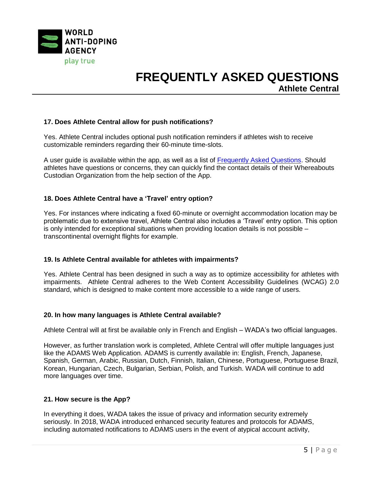

## **17. Does Athlete Central allow for push notifications?**

Yes. Athlete Central includes optional push notification reminders if athletes wish to receive customizable reminders regarding their 60-minute time-slots.

A user guide is available within the app, as well as a list of [Frequently Asked Questions.](https://adams-help.wada-ama.org/hc/en-us/sections/360001719693-Athlete-Central-FAQ) Should athletes have questions or concerns, they can quickly find the contact details of their Whereabouts Custodian Organization from the help section of the App.

## **18. Does Athlete Central have a 'Travel' entry option?**

Yes. For instances where indicating a fixed 60-minute or overnight accommodation location may be problematic due to extensive travel, Athlete Central also includes a 'Travel' entry option. This option is only intended for exceptional situations when providing location details is not possible – transcontinental overnight flights for example.

### **19. Is Athlete Central available for athletes with impairments?**

Yes. Athlete Central has been designed in such a way as to optimize accessibility for athletes with impairments. Athlete Central adheres to the Web Content Accessibility Guidelines (WCAG) 2.0 standard, which is designed to make content more accessible to a wide range of users.

### **20. In how many languages is Athlete Central available?**

Athlete Central will at first be available only in French and English – WADA's two official languages.

However, as further translation work is completed, Athlete Central will offer multiple languages just like the ADAMS Web Application. ADAMS is currently available in: English, French, Japanese, Spanish, German, Arabic, Russian, Dutch, Finnish, Italian, Chinese, Portuguese, Portuguese Brazil, Korean, Hungarian, Czech, Bulgarian, Serbian, Polish, and Turkish. WADA will continue to add more languages over time.

### **21. How secure is the App?**

In everything it does, WADA takes the issue of privacy and information security extremely seriously. In 2018, WADA introduced enhanced security features and protocols for ADAMS, including automated notifications to ADAMS users in the event of atypical account activity,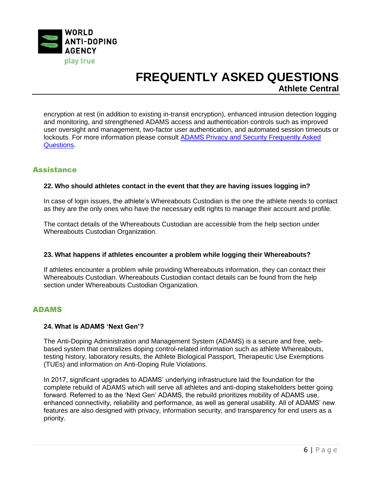

encryption at rest (in addition to existing in-transit encryption), enhanced intrusion detection logging and monitoring, and strengthened ADAMS access and authentication controls such as improved user oversight and management, two-factor user authentication, and automated session timeouts or lockouts. For more information please consult **ADAMS Privacy and Security Frequently Asked** [Questions.](https://adams-help.wada-ama.org/hc/en-us/sections/360004757694-ADAMS-Privacy-and-Security-FAQ)

## **Assistance**

## **22. Who should athletes contact in the event that they are having issues logging in?**

In case of login issues, the athlete's Whereabouts Custodian is the one the athlete needs to contact as they are the only ones who have the necessary edit rights to manage their account and profile.

The contact details of the Whereabouts Custodian are accessible from the help section under Whereabouts Custodian Organization.

### **23. What happens if athletes encounter a problem while logging their Whereabouts?**

If athletes encounter a problem while providing Whereabouts information, they can contact their Whereabouts Custodian. Whereabouts Custodian contact details can be found from the help section under Whereabouts Custodian Organization.

## ADAMS

### **24. What is ADAMS 'Next Gen'?**

The Anti-Doping Administration and Management System (ADAMS) is a secure and free, webbased system that centralizes doping control-related information such as athlete Whereabouts, testing history, laboratory results, the Athlete Biological Passport, Therapeutic Use Exemptions (TUEs) and information on Anti-Doping Rule Violations.

In 2017, significant upgrades to ADAMS' underlying infrastructure laid the foundation for the complete rebuild of ADAMS which will serve all athletes and anti-doping stakeholders better going forward. Referred to as the 'Next Gen' ADAMS, the rebuild prioritizes mobility of ADAMS use, enhanced connectivity, reliability and performance, as well as general usability. All of ADAMS' new features are also designed with privacy, information security, and transparency for end users as a priority.